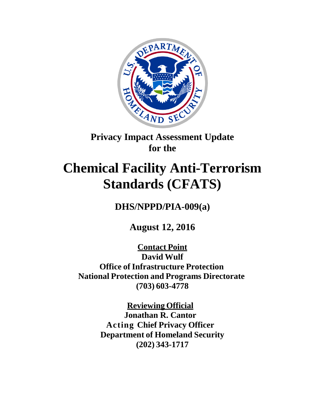

## **Privacy Impact Assessment Update for the**

# **Chemical Facility Anti-Terrorism Standards (CFATS)**

**DHS/NPPD/PIA-009(a)**

**August 12, 2016**

**Contact Point David Wulf Office of Infrastructure Protection National Protection and Programs Directorate (703) 603-4778**

> **Reviewing Official Jonathan R. Cantor Acting Chief Privacy Officer Department of Homeland Security (202) 343-1717**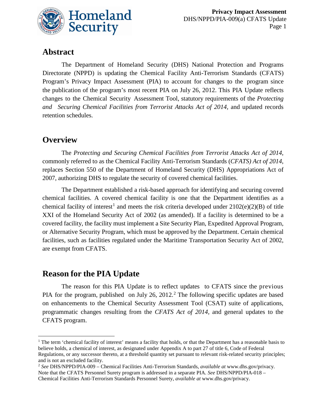

### **Abstract**

The Department of Homeland Security (DHS) National Protection and Programs Directorate (NPPD) is updating the Chemical Facility Anti-Terrorism Standards (CFATS) Program's Privacy Impact Assessment (PIA) to account for changes to the program since the publication of the program's most recent PIA on July 26, 2012. This PIA Update reflects changes to the Chemical Security Assessment Tool, statutory requirements of the *Protecting and Securing Chemical Facilities from Terrorist Attacks Act of 2014,* and updated records retention schedules.

## **Overview**

 $\overline{a}$ 

The *Protecting and Securing Chemical Facilities from Terrorist Attacks Act of 2014*, commonly referred to as the Chemical Facility Anti-Terrorism Standards (*CFATS) Act of 2014*, replaces Section 550 of the Department of Homeland Security (DHS) Appropriations Act of 2007, authorizing DHS to regulate the security of covered chemical facilities.

The Department established a risk-based approach for identifying and securing covered chemical facilities. A covered chemical facility is one that the Department identifies as a chemical facility of interest<sup>1</sup> and meets the risk criteria developed under  $2102(e)(2)(B)$  of title XXI of the Homeland Security Act of 2002 (as amended). If a facility is determined to be a covered facility, the facility must implement a Site Security Plan, Expedited Approval Program, or Alternative Security Program, which must be approved by the Department. Certain chemical facilities, such as facilities regulated under the Maritime Transportation Security Act of 2002, are exempt from CFATS.

## **Reason for the PIA Update**

The reason for this PIA Update is to reflect updates to CFATS since the previous PIA for the program, published on July 26, 2012.<sup>2</sup> The following specific updates are based on enhancements to the Chemical Security Assessment Tool (CSAT) suite of applications, programmatic changes resulting from the *CFATS Act of 2014,* and general updates to the CFATS program.

<sup>&</sup>lt;sup>1</sup> The term 'chemical facility of interest' means a facility that holds, or that the Department has a reasonable basis to believe holds, a chemical of interest, as designated under Appendix A to part 27 of title 6, Code of Federal Regulations, or any successor thereto, at a threshold quantity set pursuant to relevant risk-related security principles; and is not an excluded facility.

<sup>2</sup> *See* DHS/NPPD/PIA-009 – Chemical Facilities Anti-Terrorism Standards, *available at* <www.dhs.gov/privacy>*.*  Note that the CFATS Personnel Surety program is addressed in a separate PIA. *See* DHS/NPPD/PIA-018 – Chemical Facilities Anti-Terrorism Standards Personnel Surety, *available at* [www.dhs.gov/privacy.](www.dhs.gov/privacy)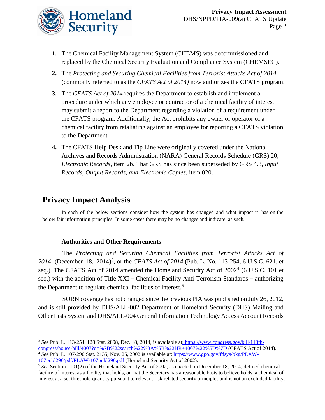

- **1.** The Chemical Facility Management System (CHEMS) was decommissioned and replaced by the Chemical Security Evaluation and Compliance System (CHEMSEC).
- **2.** The *Protecting and Securing Chemical Facilities from Terrorist Attacks Act of 2014* (commonly referred to as the *CFATS Act of 2014)* now authorizes the CFATS program.
- **3.** The *CFATS Act of 2014* requires the Department to establish and implement a procedure under which any employee or contractor of a chemical facility of interest may submit a report to the Department regarding a violation of a requirement under the CFATS program. Additionally, the Act prohibits any owner or operator of a chemical facility from retaliating against an employee for reporting a CFATS violation to the Department.
- **4.** The CFATS Help Desk and Tip Line were originally covered under the National Archives and Records Administration (NARA) General Records Schedule (GRS) 20, *Electronic Records*, item 2b. That GRS has since been superseded by GRS 4.3, *Input Records, Output Records, and Electronic Copies*, item 020.

## **Privacy Impact Analysis**

In each of the below sections consider how the system has changed and what impact it has on the below fair information principles. In some cases there may be no changes and indicate as such.

#### **Authorities and Other Requirements**

The *Protecting and Securing Chemical Facilities from Terrorist Attacks Act of* 2014 (December 18, 2014)<sup>3</sup>, or the *CFATS Act of 2014* (Pub. L. No. 113-254, 6 U.S.C. 621, et seq.). The CFATS Act of 2014 amended the Homeland Security Act of  $2002<sup>4</sup>$  (6 U.S.C. 101 et seq.) with the addition of Title XXI – Chemical Facility Anti-Terrorism Standards – authorizing the Department to regulate chemical facilities of interest.<sup>5</sup>

SORN coverage has not changed since the previous PIA was published on July 26, 2012, and is still provided by DHS/ALL-002 Department of Homeland Security (DHS) Mailing and Other Lists System and DHS/ALL-004 General Information Technology Access Account Records

 $\overline{a}$ <sup>3</sup> See Pub. L. 113-254, 128 Stat. 2898, Dec. 18, 2014, is available at: [https://www.congress.gov/bill/113th](https://www.congress.gov/bill/113th-congress/house-bill/4007?q=%7B%22search%22%3A%5B%22HR+4007%22%5D%7D)[congress/house-bill/4007?q=%7B%22search%22%3A%5B%22HR+4007%22%5D%7D](https://www.congress.gov/bill/113th-congress/house-bill/4007?q=%7B%22search%22%3A%5B%22HR+4007%22%5D%7D) (CFATS Act of 2014).

<sup>4</sup> *See* Pub. L. 107-296 Stat. 2135, Nov. 25, 2002 is available at: [https://www.gpo.gov/fdsys/pkg/PLAW-](https://www.gpo.gov/fdsys/pkg/PLAW-107publ296/pdf/PLAW-107publ296.pdf)107publ296/pdf/PLAW-107publ296.pdf [\(](https://www.gpo.gov/fdsys/pkg/PLAW-107publ296/pdf/PLAW-107publ296.pdf)Homeland Security Act of 2002). 5 *See* Section 2101(2) of the Homeland Security Act of 2002, as enacted on December 18, 2014, defined chemical

facility of interest as a facility that holds, or that the Secretary has a reasonable basis to believe holds, a chemical of interest at a set threshold quantity pursuant to relevant risk related security principles and is not an excluded facility.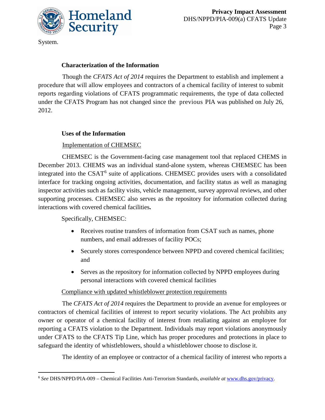

System.

 $\overline{a}$ 

#### **Characterization of the Information**

Though the *CFATS Act of 2014* requires the Department to establish and implement a procedure that will allow employees and contractors of a chemical facility of interest to submit reports regarding violations of CFATS programmatic requirements, the type of data collected under the CFATS Program has not changed since the previous PIA was published on July 26, 2012.

#### **Uses of the Information**

#### Implementation of CHEMSEC

CHEMSEC is the Government-facing case management tool that replaced CHEMS in December 2013. CHEMS was an individual stand-alone system, whereas CHEMSEC has been integrated into the CSAT<sup>6</sup> suite of applications. CHEMSEC provides users with a consolidated interface for tracking ongoing activities, documentation, and facility status as well as managing inspector activities such as facility visits, vehicle management, survey approval reviews, and other supporting processes. CHEMSEC also serves as the repository for information collected during interactions with covered chemical facilities**.** 

#### Specifically, CHEMSEC:

- Receives routine transfers of information from CSAT such as names, phone numbers, and email addresses of facility POCs;
- Securely stores correspondence between NPPD and covered chemical facilities; and
- Serves as the repository for information collected by NPPD employees during personal interactions with covered chemical facilities

#### Compliance with updated whistleblower protection requirements

The *CFATS Act of 2014* requires the Department to provide an avenue for employees or contractors of chemical facilities of interest to report security violations. The Act prohibits any owner or operator of a chemical facility of interest from retaliating against an employee for reporting a CFATS violation to the Department. Individuals may report violations anonymously under CFATS to the CFATS Tip Line, which has proper procedures and protections in place to safeguard the identity of whistleblowers, should a whistleblower choose to disclose it.

The identity of an employee or contractor of a chemical facility of interest who reports a

<sup>6</sup> *See* DHS/NPPD/PIA-009 – Chemical Facilities Anti-Terrorism Standards, *available at* [www.dhs.gov/privacy.](www.dhs.gov/privacy)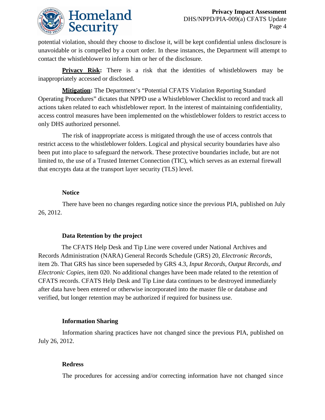

potential violation, should they choose to disclose it, will be kept confidential unless disclosure is unavoidable or is compelled by a court order. In these instances, the Department will attempt to contact the whistleblower to inform him or her of the disclosure.

**Privacy Risk:** There is a risk that the identities of whistleblowers may be inappropriately accessed or disclosed.

**Mitigation:** The Department's "Potential CFATS Violation Reporting Standard Operating Procedures" dictates that NPPD use a Whistleblower Checklist to record and track all actions taken related to each whistleblower report. In the interest of maintaining confidentiality, access control measures have been implemented on the whistleblower folders to restrict access to only DHS authorized personnel.

The risk of inappropriate access is mitigated through the use of access controls that restrict access to the whistleblower folders. Logical and physical security boundaries have also been put into place to safeguard the network. These protective boundaries include, but are not limited to, the use of a Trusted Internet Connection (TIC), which serves as an external firewall that encrypts data at the transport layer security (TLS) level.

#### **Notice**

There have been no changes regarding notice since the previous PIA, published on July 26, 2012.

#### **Data Retention by the project**

 The CFATS Help Desk and Tip Line were covered under National Archives and Records Administration (NARA) General Records Schedule (GRS) 20, *Electronic Records*, item 2b. That GRS has since been superseded by GRS 4.3, *Input Records, Output Records, and Electronic Copies*, item 020. No additional changes have been made related to the retention of CFATS records. CFATS Help Desk and Tip Line data continues to be destroyed immediately after data have been entered or otherwise incorporated into the master file or database and verified, but longer retention may be authorized if required for business use.

#### **Information Sharing**

Information sharing practices have not changed since the previous PIA, published on July 26, 2012.

#### **Redress**

The procedures for accessing and/or correcting information have not changed since